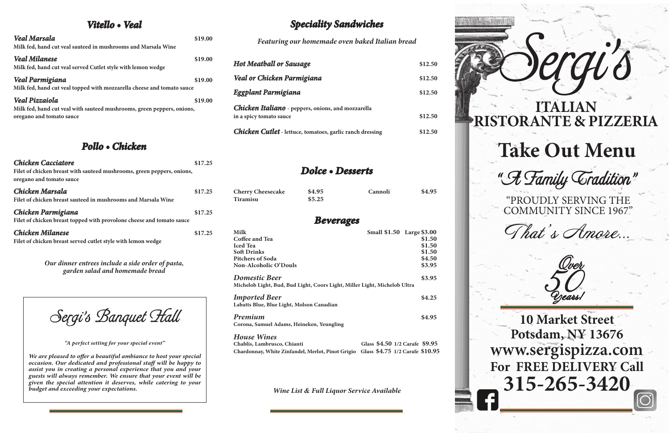# **Take Out Menu**

"A Family Cradition"

**10 Market Street Potsdam, NY 13676 www.sergispizza.com For FREE DELIVERY Call 315-265-3420**



# **ITALIAN RISTORANTE & PIZZERIA**

## *Vitello • Veal*

| <b>Veal Marsala</b><br>Milk fed, hand cut veal sauteed in mushrooms and Marsala Wine                                        | \$19.00 |
|-----------------------------------------------------------------------------------------------------------------------------|---------|
| <b>Veal Milanese</b><br>Milk fed, hand cut veal served Cutlet style with lemon wedge                                        | \$19.00 |
| <b>Veal Parmigiana</b><br>Milk fed, hand cut veal topped with mozzarella cheese and tomato sauce                            | \$19.00 |
| <b>Veal Pizzaiola</b><br>Milk fed, hand cut veal with sauteed mushrooms, green peppers, onions,<br>oregano and tomato sauce | \$19.00 |

## *Pollo • Chicken*

| \$17.25 |
|---------|
|         |
| \$17.25 |
|         |
| \$17.25 |
|         |
| \$17.25 |
|         |
|         |
|         |

*Our dinner entrees include a side order of pasta, garden salad and homemade bread*

## *Speciality Sandwiches*

*Featuring our homemade oven baked Italian bread*

| <b>Hot Meatball or Sausage</b>                                                       | \$12.50 |
|--------------------------------------------------------------------------------------|---------|
| Veal or Chicken Parmigiana                                                           | \$12.50 |
| Eggplant Parmigiana                                                                  | \$12.50 |
| <b>Chicken Italiano</b> - peppers, onions, and mozzarella<br>in a spicy tomato sauce | \$12.50 |
| <b>Chicken Cutlet</b> - lettuce, tomatoes, garlic ranch dressing                     | \$12.50 |

## *Dolce • Desserts*

| <b>Cherry Cheesecake</b> | \$4.95 | Cannoli | \$4.95 |
|--------------------------|--------|---------|--------|
| Tiramisu                 | \$5.25 |         |        |

## *Beverages*

| Milk                                                                                              | Small \$1.50 Large \$3.00      |        |
|---------------------------------------------------------------------------------------------------|--------------------------------|--------|
| Coffee and Tea                                                                                    |                                | \$1.50 |
| <b>Iced Tea</b>                                                                                   |                                | \$1.50 |
| <b>Soft Drinks</b>                                                                                |                                | \$1.50 |
| <b>Pitchers of Soda</b>                                                                           |                                | \$4.50 |
| Non-Alcoholic O'Douls                                                                             |                                | \$3.95 |
| <b>Domestic Beer</b><br>Michelob Light, Bud, Bud Light, Coors Light, Miller Light, Michelob Ultra |                                | \$3.95 |
| <b>Imported Beer</b><br>Labatts Blue, Blue Light, Molson Canadian                                 |                                | \$4.25 |
| Premium<br>Corona, Samuel Adams, Heineken, Yeungling                                              |                                | \$4.95 |
| <b>House Wines</b><br>Chablis Lambrusco Chianti                                                   | Glass \$4.50 1/2 Carafe \$9.95 |        |

| Chablis, Lambrusco, Chianti                                                       |  | Glass \$4.50 1/2 Carafe \$9.95 |  |
|-----------------------------------------------------------------------------------|--|--------------------------------|--|
| Chardonnay, White Zinfandel, Merlot, Pinot Grigio Glass \$4.75 1/2 Carafe \$10.95 |  |                                |  |

*Wine List & Full Liquor Service Available*

Sergi's Banquet Hall

*"A perfect setting for your special event"*

*We are pleased to offer a beautiful ambiance to host your special occasion. Our dedicated and professional staff will be happy to assist you in creating a personal experience that you and your guests will always remember. We ensure that your event will be given the special attention it deserves, while catering to your budget and exceeding your expectations.*

"PROUDLY SERVING THE COMMUNITY SINCE 1967"

That's Amore.